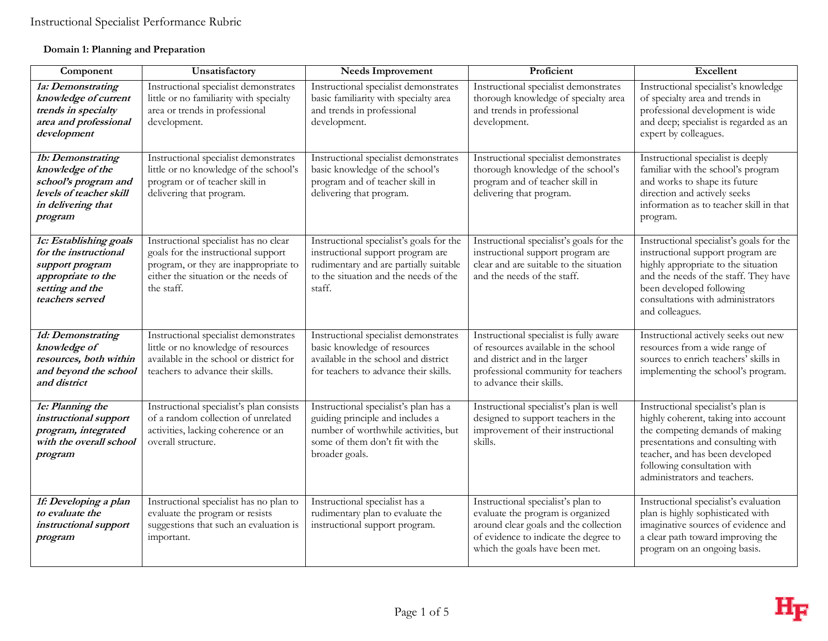## **Domain 1: Planning and Preparation**

| Component                                                                                                                      | Unsatisfactory                                                                                                                                                              | <b>Needs Improvement</b>                                                                                                                                                   | Proficient                                                                                                                                                                                  | Excellent                                                                                                                                                                                                                                            |
|--------------------------------------------------------------------------------------------------------------------------------|-----------------------------------------------------------------------------------------------------------------------------------------------------------------------------|----------------------------------------------------------------------------------------------------------------------------------------------------------------------------|---------------------------------------------------------------------------------------------------------------------------------------------------------------------------------------------|------------------------------------------------------------------------------------------------------------------------------------------------------------------------------------------------------------------------------------------------------|
| 1a: Demonstrating<br>knowledge of current<br>trends in specialty<br>area and professional<br>development                       | Instructional specialist demonstrates<br>little or no familiarity with specialty<br>area or trends in professional<br>development.                                          | Instructional specialist demonstrates<br>basic familiarity with specialty area<br>and trends in professional<br>development.                                               | Instructional specialist demonstrates<br>thorough knowledge of specialty area<br>and trends in professional<br>development.                                                                 | Instructional specialist's knowledge<br>of specialty area and trends in<br>professional development is wide<br>and deep; specialist is regarded as an<br>expert by colleagues.                                                                       |
| 1b: Demonstrating<br>knowledge of the<br>school's program and<br>levels of teacher skill<br>in delivering that<br>program      | Instructional specialist demonstrates<br>little or no knowledge of the school's<br>program or of teacher skill in<br>delivering that program.                               | Instructional specialist demonstrates<br>basic knowledge of the school's<br>program and of teacher skill in<br>delivering that program.                                    | Instructional specialist demonstrates<br>thorough knowledge of the school's<br>program and of teacher skill in<br>delivering that program.                                                  | Instructional specialist is deeply<br>familiar with the school's program<br>and works to shape its future<br>direction and actively seeks<br>information as to teacher skill in that<br>program.                                                     |
| 1c: Establishing goals<br>for the instructional<br>support program<br>appropriate to the<br>setting and the<br>teachers served | Instructional specialist has no clear<br>goals for the instructional support<br>program, or they are inappropriate to<br>either the situation or the needs of<br>the staff. | Instructional specialist's goals for the<br>instructional support program are<br>rudimentary and are partially suitable<br>to the situation and the needs of the<br>staff. | Instructional specialist's goals for the<br>instructional support program are<br>clear and are suitable to the situation<br>and the needs of the staff.                                     | Instructional specialist's goals for the<br>instructional support program are<br>highly appropriate to the situation<br>and the needs of the staff. They have<br>been developed following<br>consultations with administrators<br>and colleagues.    |
| 1d: Demonstrating<br>knowledge of<br>resources, both within<br>and beyond the school<br>and district                           | Instructional specialist demonstrates<br>little or no knowledge of resources<br>available in the school or district for<br>teachers to advance their skills.                | Instructional specialist demonstrates<br>basic knowledge of resources<br>available in the school and district<br>for teachers to advance their skills.                     | Instructional specialist is fully aware<br>of resources available in the school<br>and district and in the larger<br>professional community for teachers<br>to advance their skills.        | Instructional actively seeks out new<br>resources from a wide range of<br>sources to enrich teachers' skills in<br>implementing the school's program.                                                                                                |
| 1e: Planning the<br>instructional support<br>program, integrated<br>with the overall school<br>program                         | Instructional specialist's plan consists<br>of a random collection of unrelated<br>activities, lacking coherence or an<br>overall structure.                                | Instructional specialist's plan has a<br>guiding principle and includes a<br>number of worthwhile activities, but<br>some of them don't fit with the<br>broader goals.     | Instructional specialist's plan is well<br>designed to support teachers in the<br>improvement of their instructional<br>skills.                                                             | Instructional specialist's plan is<br>highly coherent, taking into account<br>the competing demands of making<br>presentations and consulting with<br>teacher, and has been developed<br>following consultation with<br>administrators and teachers. |
| 1f: Developing a plan<br>to evaluate the<br>instructional support<br>program                                                   | Instructional specialist has no plan to<br>evaluate the program or resists<br>suggestions that such an evaluation is<br>important.                                          | Instructional specialist has a<br>rudimentary plan to evaluate the<br>instructional support program.                                                                       | Instructional specialist's plan to<br>evaluate the program is organized<br>around clear goals and the collection<br>of evidence to indicate the degree to<br>which the goals have been met. | Instructional specialist's evaluation<br>plan is highly sophisticated with<br>imaginative sources of evidence and<br>a clear path toward improving the<br>program on an ongoing basis.                                                               |

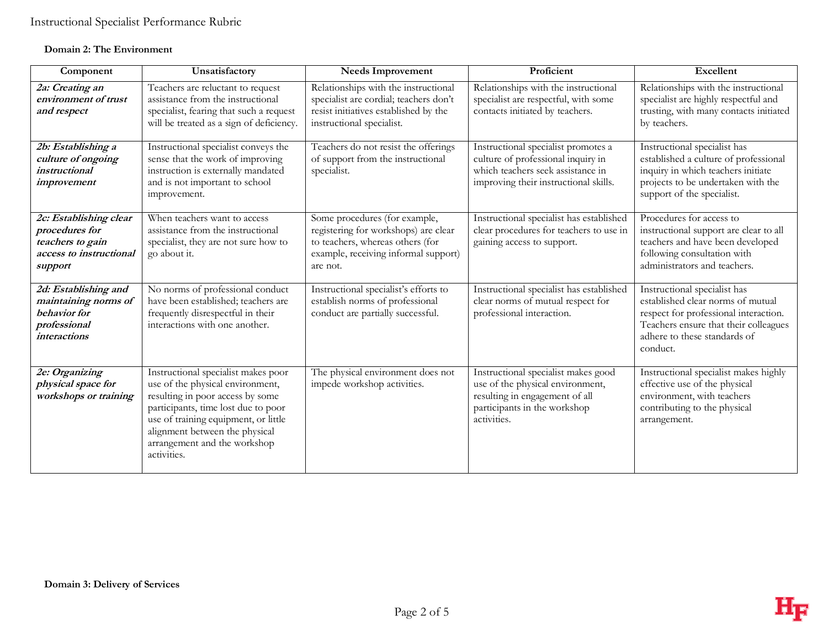## **Domain 2: The Environment**

| Component                                                                                           | Unsatisfactory                                                                                                                                                                                                                                                              | <b>Needs Improvement</b>                                                                                                                                      | Proficient                                                                                                                                               | Excellent                                                                                                                                                                                       |
|-----------------------------------------------------------------------------------------------------|-----------------------------------------------------------------------------------------------------------------------------------------------------------------------------------------------------------------------------------------------------------------------------|---------------------------------------------------------------------------------------------------------------------------------------------------------------|----------------------------------------------------------------------------------------------------------------------------------------------------------|-------------------------------------------------------------------------------------------------------------------------------------------------------------------------------------------------|
| 2a: Creating an<br>environment of trust<br>and respect                                              | Teachers are reluctant to request<br>assistance from the instructional<br>specialist, fearing that such a request<br>will be treated as a sign of deficiency.                                                                                                               | Relationships with the instructional<br>specialist are cordial; teachers don't<br>resist initiatives established by the<br>instructional specialist.          | Relationships with the instructional<br>specialist are respectful, with some<br>contacts initiated by teachers.                                          | Relationships with the instructional<br>specialist are highly respectful and<br>trusting, with many contacts initiated<br>by teachers.                                                          |
| 2b: Establishing a<br>culture of ongoing<br>instructional<br>improvement                            | Instructional specialist conveys the<br>sense that the work of improving<br>instruction is externally mandated<br>and is not important to school<br>improvement.                                                                                                            | Teachers do not resist the offerings<br>of support from the instructional<br>specialist.                                                                      | Instructional specialist promotes a<br>culture of professional inquiry in<br>which teachers seek assistance in<br>improving their instructional skills.  | Instructional specialist has<br>established a culture of professional<br>inquiry in which teachers initiate<br>projects to be undertaken with the<br>support of the specialist.                 |
| 2c: Establishing clear<br>procedures for<br>teachers to gain<br>access to instructional<br>support  | When teachers want to access<br>assistance from the instructional<br>specialist, they are not sure how to<br>go about it.                                                                                                                                                   | Some procedures (for example,<br>registering for workshops) are clear<br>to teachers, whereas others (for<br>example, receiving informal support)<br>are not. | Instructional specialist has established<br>clear procedures for teachers to use in<br>gaining access to support.                                        | Procedures for access to<br>instructional support are clear to all<br>teachers and have been developed<br>following consultation with<br>administrators and teachers.                           |
| 2d: Establishing and<br>maintaining norms of<br>behavior for<br>professional<br><i>interactions</i> | No norms of professional conduct<br>have been established; teachers are<br>frequently disrespectful in their<br>interactions with one another.                                                                                                                              | Instructional specialist's efforts to<br>establish norms of professional<br>conduct are partially successful.                                                 | Instructional specialist has established<br>clear norms of mutual respect for<br>professional interaction.                                               | Instructional specialist has<br>established clear norms of mutual<br>respect for professional interaction.<br>Teachers ensure that their colleagues<br>adhere to these standards of<br>conduct. |
| 2e: Organizing<br>physical space for<br>workshops or training                                       | Instructional specialist makes poor<br>use of the physical environment,<br>resulting in poor access by some<br>participants, time lost due to poor<br>use of training equipment, or little<br>alignment between the physical<br>arrangement and the workshop<br>activities. | The physical environment does not<br>impede workshop activities.                                                                                              | Instructional specialist makes good<br>use of the physical environment,<br>resulting in engagement of all<br>participants in the workshop<br>activities. | Instructional specialist makes highly<br>effective use of the physical<br>environment, with teachers<br>contributing to the physical<br>arrangement.                                            |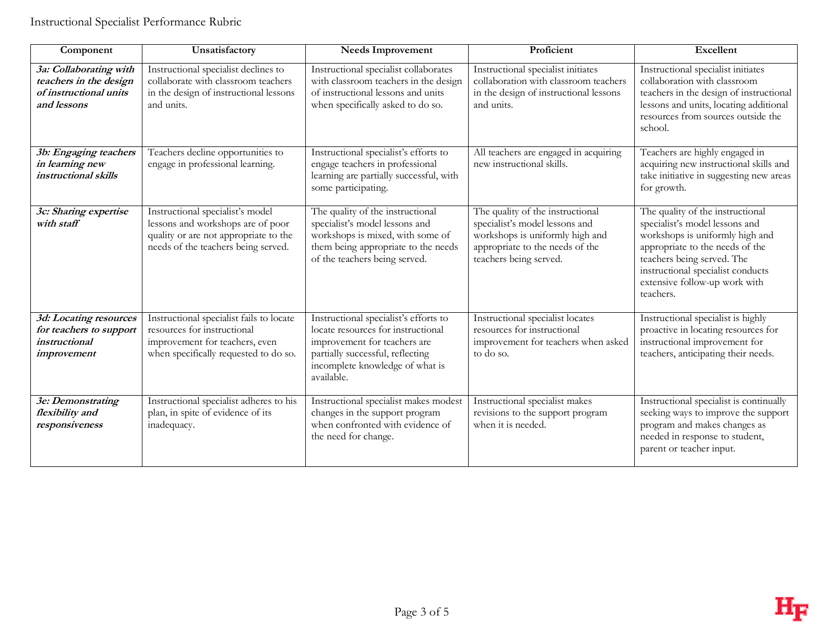| Component                                                                                 | Unsatisfactory                                                                                                                                        | <b>Needs Improvement</b>                                                                                                                                                                         | Proficient                                                                                                                                                         | <b>Excellent</b>                                                                                                                                                                                                                                          |
|-------------------------------------------------------------------------------------------|-------------------------------------------------------------------------------------------------------------------------------------------------------|--------------------------------------------------------------------------------------------------------------------------------------------------------------------------------------------------|--------------------------------------------------------------------------------------------------------------------------------------------------------------------|-----------------------------------------------------------------------------------------------------------------------------------------------------------------------------------------------------------------------------------------------------------|
| 3a: Collaborating with<br>teachers in the design<br>of instructional units<br>and lessons | Instructional specialist declines to<br>collaborate with classroom teachers<br>in the design of instructional lessons<br>and units.                   | Instructional specialist collaborates<br>with classroom teachers in the design<br>of instructional lessons and units<br>when specifically asked to do so.                                        | Instructional specialist initiates<br>collaboration with classroom teachers<br>in the design of instructional lessons<br>and units.                                | Instructional specialist initiates<br>collaboration with classroom<br>teachers in the design of instructional<br>lessons and units, locating additional<br>resources from sources outside the<br>school.                                                  |
| 3b: Engaging teachers<br>in learning new<br>instructional skills                          | Teachers decline opportunities to<br>engage in professional learning.                                                                                 | Instructional specialist's efforts to<br>engage teachers in professional<br>learning are partially successful, with<br>some participating.                                                       | All teachers are engaged in acquiring<br>new instructional skills.                                                                                                 | Teachers are highly engaged in<br>acquiring new instructional skills and<br>take initiative in suggesting new areas<br>for growth.                                                                                                                        |
| 3c: Sharing expertise<br>with staff                                                       | Instructional specialist's model<br>lessons and workshops are of poor<br>quality or are not appropriate to the<br>needs of the teachers being served. | The quality of the instructional<br>specialist's model lessons and<br>workshops is mixed, with some of<br>them being appropriate to the needs<br>of the teachers being served.                   | The quality of the instructional<br>specialist's model lessons and<br>workshops is uniformly high and<br>appropriate to the needs of the<br>teachers being served. | The quality of the instructional<br>specialist's model lessons and<br>workshops is uniformly high and<br>appropriate to the needs of the<br>teachers being served. The<br>instructional specialist conducts<br>extensive follow-up work with<br>teachers. |
| 3d: Locating resources<br>for teachers to support<br><i>instructional</i><br>improvement  | Instructional specialist fails to locate<br>resources for instructional<br>improvement for teachers, even<br>when specifically requested to do so.    | Instructional specialist's efforts to<br>locate resources for instructional<br>improvement for teachers are<br>partially successful, reflecting<br>incomplete knowledge of what is<br>available. | Instructional specialist locates<br>resources for instructional<br>improvement for teachers when asked<br>to do so.                                                | Instructional specialist is highly<br>proactive in locating resources for<br>instructional improvement for<br>teachers, anticipating their needs.                                                                                                         |
| 3e: Demonstrating<br>flexibility and<br>responsiveness                                    | Instructional specialist adheres to his<br>plan, in spite of evidence of its<br>inadequacy.                                                           | Instructional specialist makes modest<br>changes in the support program<br>when confronted with evidence of<br>the need for change.                                                              | Instructional specialist makes<br>revisions to the support program<br>when it is needed.                                                                           | Instructional specialist is continually<br>seeking ways to improve the support<br>program and makes changes as<br>needed in response to student,<br>parent or teacher input.                                                                              |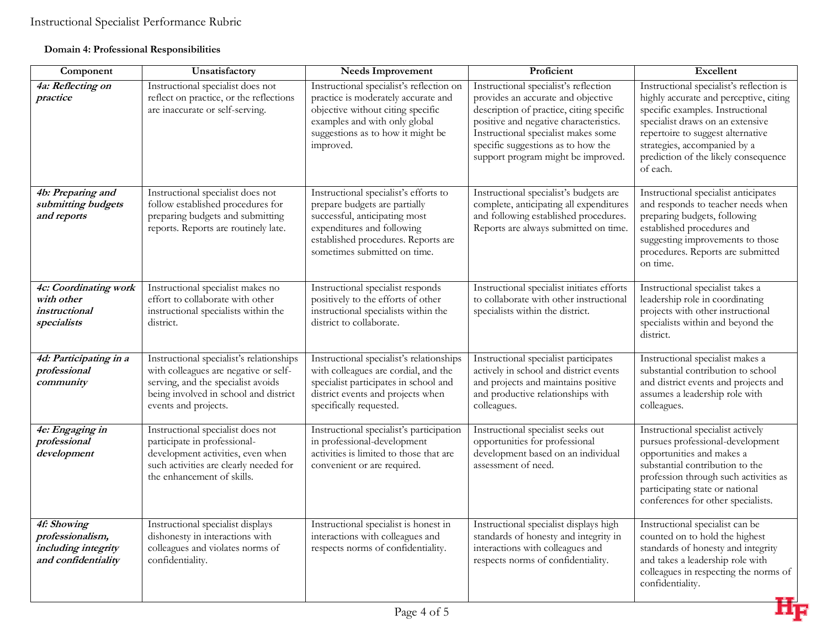## **Domain 4: Professional Responsibilities**

| Component                                                                     | Unsatisfactory                                                                                                                                                                           | <b>Needs Improvement</b>                                                                                                                                                                                     | Proficient                                                                                                                                                                                                                                                                           | Excellent                                                                                                                                                                                                                                                                           |
|-------------------------------------------------------------------------------|------------------------------------------------------------------------------------------------------------------------------------------------------------------------------------------|--------------------------------------------------------------------------------------------------------------------------------------------------------------------------------------------------------------|--------------------------------------------------------------------------------------------------------------------------------------------------------------------------------------------------------------------------------------------------------------------------------------|-------------------------------------------------------------------------------------------------------------------------------------------------------------------------------------------------------------------------------------------------------------------------------------|
| 4a: Reflecting on<br>practice                                                 | Instructional specialist does not<br>reflect on practice, or the reflections<br>are inaccurate or self-serving.                                                                          | Instructional specialist's reflection on<br>practice is moderately accurate and<br>objective without citing specific<br>examples and with only global<br>suggestions as to how it might be<br>improved.      | Instructional specialist's reflection<br>provides an accurate and objective<br>description of practice, citing specific<br>positive and negative characteristics.<br>Instructional specialist makes some<br>specific suggestions as to how the<br>support program might be improved. | Instructional specialist's reflection is<br>highly accurate and perceptive, citing<br>specific examples. Instructional<br>specialist draws on an extensive<br>repertoire to suggest alternative<br>strategies, accompanied by a<br>prediction of the likely consequence<br>of each. |
| 4b: Preparing and<br>submitting budgets<br>and reports                        | Instructional specialist does not<br>follow established procedures for<br>preparing budgets and submitting<br>reports. Reports are routinely late.                                       | Instructional specialist's efforts to<br>prepare budgets are partially<br>successful, anticipating most<br>expenditures and following<br>established procedures. Reports are<br>sometimes submitted on time. | Instructional specialist's budgets are<br>complete, anticipating all expenditures<br>and following established procedures.<br>Reports are always submitted on time.                                                                                                                  | Instructional specialist anticipates<br>and responds to teacher needs when<br>preparing budgets, following<br>established procedures and<br>suggesting improvements to those<br>procedures. Reports are submitted<br>on time.                                                       |
| 4c: Coordinating work<br>with other<br>instructional<br>specialists           | Instructional specialist makes no<br>effort to collaborate with other<br>instructional specialists within the<br>district.                                                               | Instructional specialist responds<br>positively to the efforts of other<br>instructional specialists within the<br>district to collaborate.                                                                  | Instructional specialist initiates efforts<br>to collaborate with other instructional<br>specialists within the district.                                                                                                                                                            | Instructional specialist takes a<br>leadership role in coordinating<br>projects with other instructional<br>specialists within and beyond the<br>district.                                                                                                                          |
| 4d: Participating in a<br>professional<br>community                           | Instructional specialist's relationships<br>with colleagues are negative or self-<br>serving, and the specialist avoids<br>being involved in school and district<br>events and projects. | Instructional specialist's relationships<br>with colleagues are cordial, and the<br>specialist participates in school and<br>district events and projects when<br>specifically requested.                    | Instructional specialist participates<br>actively in school and district events<br>and projects and maintains positive<br>and productive relationships with<br>colleagues.                                                                                                           | Instructional specialist makes a<br>substantial contribution to school<br>and district events and projects and<br>assumes a leadership role with<br>colleagues.                                                                                                                     |
| 4e: Engaging in<br>professional<br>development                                | Instructional specialist does not<br>participate in professional-<br>development activities, even when<br>such activities are clearly needed for<br>the enhancement of skills.           | Instructional specialist's participation<br>in professional-development<br>activities is limited to those that are<br>convenient or are required.                                                            | Instructional specialist seeks out<br>opportunities for professional<br>development based on an individual<br>assessment of need.                                                                                                                                                    | Instructional specialist actively<br>pursues professional-development<br>opportunities and makes a<br>substantial contribution to the<br>profession through such activities as<br>participating state or national<br>conferences for other specialists.                             |
| 4f: Showing<br>professionalism,<br>including integrity<br>and confidentiality | Instructional specialist displays<br>dishonesty in interactions with<br>colleagues and violates norms of<br>confidentiality.                                                             | Instructional specialist is honest in<br>interactions with colleagues and<br>respects norms of confidentiality.                                                                                              | Instructional specialist displays high<br>standards of honesty and integrity in<br>interactions with colleagues and<br>respects norms of confidentiality.                                                                                                                            | Instructional specialist can be<br>counted on to hold the highest<br>standards of honesty and integrity<br>and takes a leadership role with<br>colleagues in respecting the norms of<br>confidentiality.                                                                            |